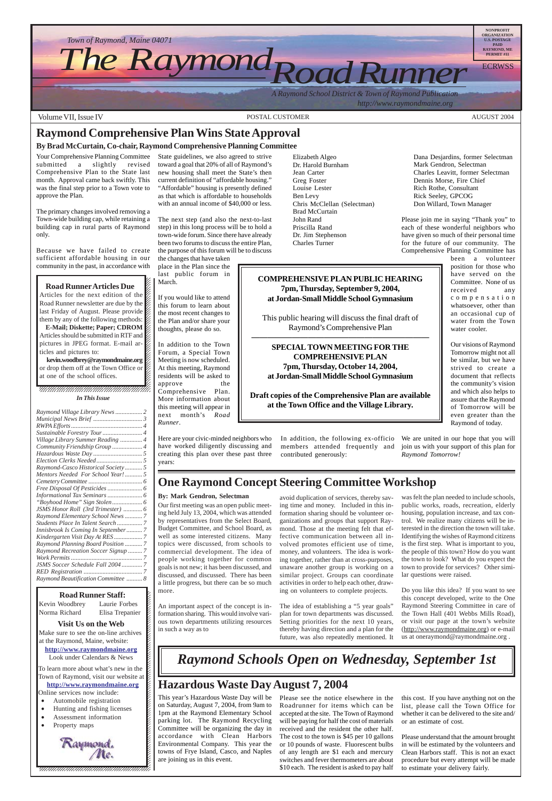*A Raymond School District & Town of Raymond Publication*

 *http://www.raymondmaine.org*

 $123$ Norma Richard Elisa Trepanier K  $123$ 12345678901234567890123456789012123456789012345678

**Visit Us on the Web** 12345678901234567890123456789012123456789012345678 Make sure to see the on-line archives  $\cancel{z}$ at the Raymond, Maine, website: **http://www.raymondmaine.org** Look under Calendars  $&$  News 12345678901234567890123456789012345678901234567890123456789012345678901234567890123456789012345678901234567890

12345678901234567890123456789012123456789012345678 To learn more about what's new in the  $\cancel{E}$ Town of Raymond, visit our website at  $\cancel{\mathcal{E}}$  $1235678901234567890123456789012345678901234567890123456789012345678901234567890123456789012345678901234567890123456789012345678901234567890123456789012345678901234567890123456789012345678901234567890123456789012345678901$ **http://www.raymondmaine.org**  $\blacksquare$ Online services now include:

12345678901234567890123456789012123456789012345678

- Automobile registration
- 12345678901234567890123456789012123456789012345678 • Hunting and fishing licenses
- Assessment information 12345678901234567890123456789012123456789012345678
- Property maps



Volume VII, Issue IV and the Contract of the Contract of POSTAL CUSTOMER AUGUST 2004 and the AUGUST 2004

12345678901234567890123456789012123456789012345678



### **Hazardous Waste Day August 7, 2004**

This year's Hazardous Waste Day will be on Saturday, August 7, 2004, from 9am to 1pm at the Raymond Elementary School parking lot. The Raymond Recycling Committee will be organizing the day in accordance with Clean Harbors Environmental Company. This year the towns of Frye Island, Casco, and Naples are joining us in this event.

Please see the notice elsewhere in the Roadrunner for items which can be accepted at the site. The Town of Raymond will be paying for half the cost of materials received and the resident the other half. The cost to the town is \$45 per 10 gallons or 10 pounds of waste. Fluorescent bulbs of any length are \$1 each and mercury switches and fever thermometers are about \$10 each. The resident is asked to pay half

### **Raymond Comprehensive Plan Wins State Approval**

#### **By Brad McCurtain, Co-chair, Raymond Comprehensive Planning Committee**

Your Comprehensive Planning Committee submitted a slightly revised Comprehensive Plan to the State last month. Approval came back swiftly. This was the final step prior to a Town vote to approve the Plan.

The primary changes involved removing a Town-wide building cap, while retaining a building cap in rural parts of Raymond only.

Because we have failed to create sufficient affordable housing in our community in the past, in accordance with

12345678901234567890123456789012345678901234567890123456789012345678901234567890123456789012345678901234567890  $1235678901234567890123456789012345678901234567890123456789012345678901234567890123456789012345678901234567890123456789012345678901234567890123456789012345678901234567890123456789012345678901234567890123456789012345678901$ 

#### $1235678901234567890123456789012345678901234567890123456789012345678901234567890123456789012345678901234567890123456789012345678901234567890123456789012345678901234567890123456789012345678901234567890123456789012345678901$ **Road Runner Articles Due**  $\blacksquare$

Articles for the next edition of the  $\%$ Road Runner newsletter are due by the 12345678901234567890123456789012123456789012345678 last Friday of August. Please provide  $\mathcal{Z}$ them by any of the following methods:

**E-Mail; Diskette; Paper; CDROM** Articles should be submitted in RTF and  $\mathbb Z$ pictures in JPEG format. E-mail ar- $\%$  $\overline{\phantom{a}}$  . The set of the set of the set of the set of the set of the set of the set of the set of the set of the set of the set of the set of the set of the set of the set of the set of the set of the set of the set o ticles and pictures to:  $\mathscr{L}$ 

kevin.woodbrey@raymondmaine.org 12345678901234567890123456789012123456789012345678 or drop them off at the Town Office or  $\cancel{\mathscr{C}}$ at one of the school offices.  $1235678901234567890123456789012345678901234567890123456789012345678901234567890123456789012345678901234567890123456789012345678901234567890123456789012345678901234567890123456789012345678901234567890123456789012345678901$ 

 $\blacksquare$ 

#### 12345678901234567890123456789012123456789012345678 12345678901234567890123456789012123456789012345678 12345678901234567890123456789012123456789012345678 *In This Issue*

State guidelines, we also agreed to strive toward a goal that 20% of all of Raymond's new housing shall meet the State's then current definition of "affordable housing." "Affordable" housing is presently defined as that which is affordable to households with an annual income of \$40,000 or less.

The next step (and also the next-to-last step) in this long process will be to hold a town-wide forum. Since there have already been two forums to discuss the entire Plan, the purpose of this forum will be to discuss

the changes that have taken

place in the Plan since the last public forum in March.

If you would like to attend this forum to learn about the most recent changes to the Plan and/or share your thoughts, please do so.

In addition to the Town Forum, a Special Town Meeting is now scheduled. At this meeting, Raymond residents will be asked to approve the Comprehensive Plan. More information about this meeting will appear in next month's *Road Runner*.

Here are your civic-minded neighbors who have worked diligently discussing and creating this plan over these past three years:

Elizabeth Algeo Dr. Harold Burnham Jean Carter Greg Foster Louise Lester Ben Levy Chris McClellan (Selectman) Brad McCurtain John Rand Priscilla Rand Dr. Jim Stephenson Charles Turner

In addition, the following ex-officio members attended frequently and contributed generously:

Dana Desjardins, former Selectman Mark Gendron, Selectman Charles Leavitt, former Selectman Dennis Morse, Fire Chief Rich Rothe, Consultant Rick Seeley, GPCOG Don Willard, Town Manager

Please join me in saying "Thank you" to each of these wonderful neighbors who have given so much of their personal time for the future of our community. The Comprehensive Planning Committee has

> been a volunteer position for those who have served on the Committee. None of us received any compensation whatsoever, other than an occasional cup of water from the Town water cooler.

> Our visions of Raymond Tomorrow might not all be similar, but we have strived to create a document that reflects the community's vision and which also helps to assure that the Raymond of Tomorrow will be even greater than the Raymond of today.

We are united in our hope that you will join us with your support of this plan for *Raymond Tomorrow!*

| Raymond Village Library News  2      |  |
|--------------------------------------|--|
|                                      |  |
|                                      |  |
|                                      |  |
| Village Library Summer Reading  4    |  |
| Community Friendship Group  4        |  |
|                                      |  |
|                                      |  |
| Raymond-Casco Historical Society 5   |  |
| Mentors Needed For School Year!  5   |  |
|                                      |  |
|                                      |  |
|                                      |  |
|                                      |  |
| JSMS Honor Roll (3rd Trimester)  6   |  |
| Raymond Elementary School News  7    |  |
| Students Place In Talent Search  7   |  |
| Innisbrook Is Coming In September  7 |  |
|                                      |  |
| Raymond Planning Board Position  7   |  |
| Raymond Recreation Soccer Signup  7  |  |
|                                      |  |
| JSMS Soccer Schedule Fall 2004 7     |  |
|                                      |  |
| Raymond Beautification Committee  8  |  |
|                                      |  |

#### 12345678901234567890123456789012345678901234567890123456789012345678901234567890123456789012345678901234567890 **Road Runner Staff:** 12345678901234567890123456789012123456789012345678 Kevin Woodbrey Laurie Forbes  $\boldsymbol{\xi}$

### **COMPREHENSIVE PLAN PUBLIC HEARING 7pm, Thursday, September 9, 2004, at Jordan-Small Middle School Gymnasium**

This public hearing will discuss the final draft of Raymond's Comprehensive Plan

**——————————————————————**

**SPECIAL TOWN MEETING FOR THE COMPREHENSIVE PLAN 7pm, Thursday, October 14, 2004, at Jordan-Small Middle School Gymnasium**

**Draft copies of the Comprehensive Plan are available at the Town Office and the Village Library.**

> this cost. If you have anything not on the list, please call the Town Office for whether it can be delivered to the site and/ or an estimate of cost.

> Please understand that the amount brought in will be estimated by the volunteers and Clean Harbors staff. This is not an exact procedure but every attempt will be made to estimate your delivery fairly.

### **One Raymond Concept Steering Committee Workshop**

#### **By: Mark Gendron, Selectman**

*Raymond Schools Open on Wednesday, September 1st*

Our first meeting was an open public meeting held July 13, 2004, which was attended by representatives from the Select Board, Budget Committee, and School Board, as well as some interested citizens. Many topics were discussed, from schools to commercial development. The idea of people working together for common goals is not new; it has been discussed, and discussed, and discussed. There has been a little progress, but there can be so much more.

An important aspect of the concept is information sharing. This would involve various town departments utilizing resources in such a way as to

avoid duplication of services, thereby saving time and money. Included in this information sharing should be volunteer organizations and groups that support Raymond. Those at the meeting felt that effective communication between all involved promotes efficient use of time, money, and volunteers. The idea is working together, rather than at cross-purposes, unaware another group is working on a similar project. Groups can coordinate activities in order to help each other, drawing on volunteers to complete projects.

The idea of establishing a "5 year goals" plan for town departments was discussed. Setting priorities for the next 10 years, thereby having direction and a plan for the future, was also repeatedly mentioned. It

was felt the plan needed to include schools, public works, roads, recreation, elderly housing, population increase, and tax control. We realize many citizens will be interested in the direction the town will take. Identifying the wishes of Raymond citizens is the first step. What is important to you, the people of this town? How do you want the town to look? What do you expect the town to provide for services? Other similar questions were raised.

Do you like this idea? If you want to see this concept developed, write to the One Raymond Steering Committee in care of the Town Hall (401 Webbs Mills Road), or visit our page at the town's website (http://www.raymondmaine.org) or e-mail us at oneraymond@raymondmaine.org .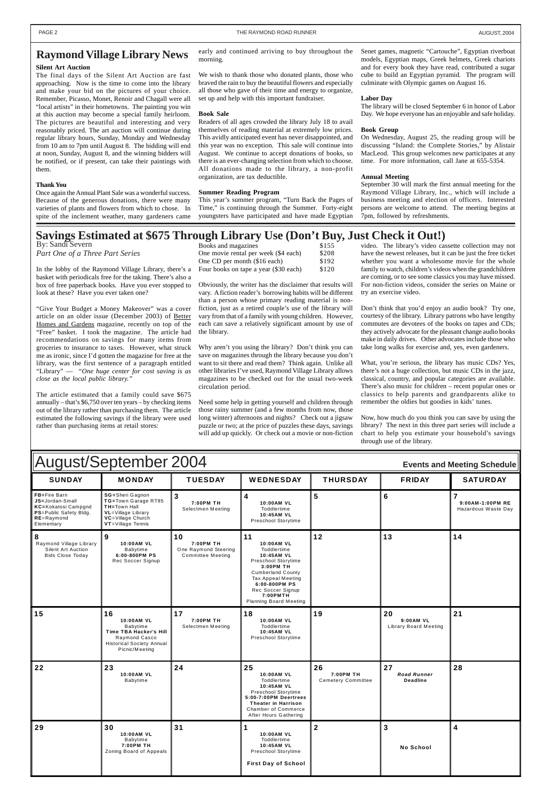| August/September 2004<br><b>Events and Meeting Schedule</b>                                                              |                                                                                                                                        |                                                                     |                                                                                                                                                                                                                               |                 |               |                                         |
|--------------------------------------------------------------------------------------------------------------------------|----------------------------------------------------------------------------------------------------------------------------------------|---------------------------------------------------------------------|-------------------------------------------------------------------------------------------------------------------------------------------------------------------------------------------------------------------------------|-----------------|---------------|-----------------------------------------|
| <b>SUNDAY</b>                                                                                                            | <b>MONDAY</b>                                                                                                                          | <b>TUESDAY</b>                                                      | <b>WEDNESDAY</b>                                                                                                                                                                                                              | <b>THURSDAY</b> | <b>FRIDAY</b> | <b>SATURDAY</b>                         |
| FB=Fire Barn<br>JS=Jordan-Small<br>KC=Kokatosi Campgnd<br><b>PS</b> =Public Safety Bldg.<br>$RE =$ Raymond<br>Elementary | SG=Sheri Gagnon<br>TG=Town Garage RT85<br>TH=Town Hall<br><b>VL</b> =Village Library<br><b>VC</b> =Village Church<br>VT=Village Tennis | 3<br>7:00PM TH<br>Selectmen Meeting                                 | <b>10:00AM VL</b><br>Toddlertime<br>10:45AM VL<br>Preschool Storytime                                                                                                                                                         | 5               | 6             | 9:00AM-1:00PM RE<br>Hazardous Waste Day |
| Raymond Village Library<br>Silent Art Auction<br><b>Bids Close Today</b>                                                 | 9<br><b>10:00AM VL</b><br>Babytime<br>6:00-800PM PS<br>Rec Soccer Signup                                                               | 10<br>7:00PM TH<br>One Raymond Steering<br><b>Committee Meeting</b> | 11<br><b>10:00AM VL</b><br>Toddlertime<br>10:45AM VL<br>Preschool Storytime<br>3:00PM TH<br><b>Cumberland County</b><br>Tax Appeal Meeting<br>6:00-800PM PS<br>Rec Soccer Signup<br>7:00PMTH<br><b>Planning Board Meeting</b> | 12              | 13            | 14                                      |

| 15  | 16<br>10:00AM VL<br>Babytime<br>Time TBA Hacker's Hill<br>Raymond Casco<br><b>Historical Society Annual</b><br>Picnic/Meeting | 17<br>7:00PM TH<br>Selectmen Meeting | 18<br>10:00AM VL<br>Toddlertime<br>10:45AM VL<br>Preschool Storytime                                                                                                               | 19                                           | 20<br>9:00AM VL<br>Library Board Meeting    | 21 |
|-----|-------------------------------------------------------------------------------------------------------------------------------|--------------------------------------|------------------------------------------------------------------------------------------------------------------------------------------------------------------------------------|----------------------------------------------|---------------------------------------------|----|
| 22  | 23<br>10:00AM VL<br>Babytime                                                                                                  | 24                                   | 25<br>10:00AM VL<br>Toddlertime<br>10:45AM VL<br>Preschool Storytime<br>5:00-7:00PM Deertrees<br><b>Theater in Harrison</b><br><b>Chamber of Commerce</b><br>After Hours Gathering | 26<br>7:00PM TH<br><b>Cemetery Committee</b> | 27<br><b>Road Runner</b><br><b>Deadline</b> | 28 |
| 129 | 30<br>10:00AM VL<br>Babytime<br>7:00PM TH<br>Zoning Board of Appeals                                                          | 31                                   | 10:00AM VL<br>Toddlertime<br>10:45AM VL<br>Preschool Storytime<br><b>First Day of School</b>                                                                                       | $\mathbf 2$                                  | 3<br><b>No School</b>                       | 4  |

### **Raymond Village Library News**

#### **Silent Art Auction**

The final days of the Silent Art Auction are fast approaching. Now is the time to come into the library and make your bid on the pictures of your choice. Remember, Picasso, Monet, Renoir and Chagall were all "local artists" in their hometowns. The painting you win at this auction may become a special family heirloom. The pictures are beautiful and interesting and very reasonably priced. The art auction will continue during regular library hours, Sunday, Monday and Wednesday from 10 am to 7pm until August 8. The bidding will end at noon, Sunday, August 8, and the winning bidders will be notified, or if present, can take their paintings with them.

### **Thank You**

Once again the Annual Plant Sale was a wonderful success. Because of the generous donations, there were many varieties of plants and flowers from which to chose. In spite of the inclement weather, many gardeners came

### **Savings Estimated at \$675 Through Library Use (Don't Buy, Just Check it Out!)**

In the lobby of the Raymond Village Library, there's a basket with periodicals free for the taking. There's also a box of free paperback books. Have you ever stopped to look at these? Have you ever taken one?

"Give Your Budget a Money Makeover" was a cover article on an older issue (December 2003) of Better Homes and Gardens magazine, recently on top of the "Free" basket. I took the magazine. The article had recommendations on savings for many items from groceries to insurance to taxes. However, what struck me as ironic, since I'd gotten the magazine for free at the library, was the first sentence of a paragraph entitled "Library" — *"One huge center for cost saving is as close as the local public library."*

The article estimated that a family could save \$675 annually – that's \$6,750 over ten years – by checking items out of the library rather than purchasing them. The article estimated the following savings if the library were used rather than purchasing items at retail stores:

| $\mu_{\rm BH}$ Library $\cos(\nu \nu \pi)$ that |       |
|-------------------------------------------------|-------|
| Books and magazines                             | \$155 |
| One movie rental per week (\$4 each)            | \$208 |
| One CD per month (\$16 each)                    | \$192 |
| Four books on tape a year (\$30 each)           | \$120 |

Obviously, the writer has the disclaimer that results will vary. A fiction reader's borrowing habits will be different than a person whose primary reading material is nonfiction, just as a retired couple's use of the library will vary from that of a family with young children. However, each can save a relatively significant amount by use of the library.

Why aren't you using the library? Don't think you can save on magazines through the library because you don't want to sit there and read them? Think again. Unlike all other libraries I've used, Raymond Village Library allows magazines to be checked out for the usual two-week circulation period.

Need some help in getting yourself and children through those rainy summer (and a few months from now, those long winter) afternoons and nights? Check out a jigsaw puzzle or two; at the price of puzzles these days, savings will add up quickly. Or check out a movie or non-fiction

video. The library's video cassette collection may not have the newest releases, but it can be just the free ticket whether you want a wholesome movie for the whole family to watch, children's videos when the grandchildren are coming, or to see some classics you may have missed. For non-fiction videos, consider the series on Maine or try an exercise video.

*Part One of a Three Part Series* By: Sandi Severn

> Don't think that you'd enjoy an audio book? Try one, courtesy of the library. Library patrons who have lengthy commutes are devotees of the books on tapes and CDs; they actively advocate for the pleasant change audio books make in daily drives. Other advocates include those who take long walks for exercise and, yes, even gardeners.

> What, you're serious, the library has music CDs? Yes, there's not a huge collection, but music CDs in the jazz, classical, country, and popular categories are available. There's also music for children – recent popular ones or classics to help parents and grandparents alike to remember the oldies but goodies in kids' tunes.

> Now, how much do you think you can save by using the library? The next in this three part series will include a chart to help you estimate your household's savings through use of the library.

early and continued arriving to buy throughout the morning.

We wish to thank those who donated plants, those who braved the rain to buy the beautiful flowers and especially all those who gave of their time and energy to organize, set up and help with this important fundraiser.

#### **Book Sale**

Readers of all ages crowded the library July 18 to avail themselves of reading material at extremely low prices. This avidly anticipated event has never disappointed, and this year was no exception. This sale will continue into August. We continue to accept donations of books, so there is an ever-changing selection from which to choose. All donations made to the library, a non-profit organization, are tax deductible.

#### **Summer Reading Program**

This year's summer program, "Turn Back the Pages of Time," is continuing through the Summer. Forty-eight youngsters have participated and have made Egyptian

Senet games, magnetic "Cartouche", Egyptian riverboat models, Egyptian maps, Greek helmets, Greek chariots and for every book they have read, contributed a sugar cube to build an Egyptian pyramid. The program will culminate with Olympic games on August 16.

#### **Labor Day**

The library will be closed September 6 in honor of Labor Day. We hope everyone has an enjoyable and safe holiday.

#### **Book Group**

On Wednesday, August 25, the reading group will be discussing "Island: the Complete Stories," by Alistair MacLeod. This group welcomes new participates at any time. For more information, call Jane at 655-5354.

#### **Annual Meeting**

September 30 will mark the first annual meeting for the Raymond Village Library, Inc., which will include a business meeting and election of officers. Interested persons are welcome to attend. The meeting begins at 7pm, followed by refreshments.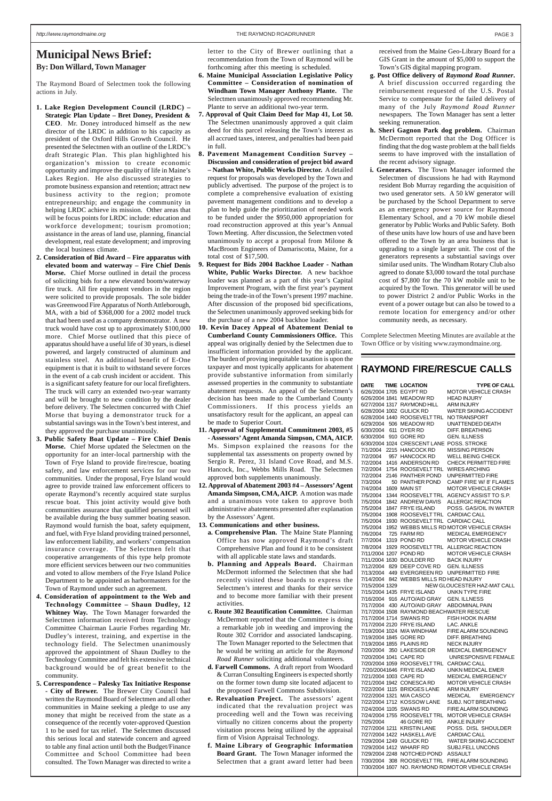### **Municipal News Brief: By: Don Willard, Town Manager**

The Raymond Board of Selectmen took the following actions in July.

- **1. Lake Region Development Council (LRDC) – Strategic Plan Update – Bret Doney, President & CEO**. Mr. Doney introduced himself as the new director of the LRDC in addition to his capacity as president of the Oxford Hills Growth Council. He presented the Selectmen with an outline of the LRDC's draft Strategic Plan. This plan highlighted his organization's mission to create economic opportunity and improve the quality of life in Maine's Lakes Region. He also discussed strategies to promote business expansion and retention; attract new business activity to the region; promote entrepreneurship; and engage the community in helping LRDC achieve its mission. Other areas that will be focus points for LRDC include: education and workforce development; tourism promotion; assistance in the areas of land use, planning, financial development, real estate development; and improving the local business climate.
- **2. Consideration of Bid Award Fire apparatus with elevated boom and waterway – Fire Chief Denis Morse.** Chief Morse outlined in detail the process of soliciting bids for a new elevated boom/waterway fire truck. All fire equipment vendors in the region were solicited to provide proposals. The sole bidder was Greenwood Fire Apparatus of North Attleborough, MA, with a bid of \$368,000 for a 2002 model truck that had been used as a company demonstrator. A new truck would have cost up to approximately \$100,000 more. Chief Morse outlined that this piece of apparatus should have a useful life of 30 years, is diesel powered, and largely constructed of aluminum and stainless steel. An additional benefit of E-One equipment is that it is built to withstand severe forces in the event of a cab crush incident or accident. This is a significant safety feature for our local firefighters. The truck will carry an extended two-year warranty and will be brought to new condition by the dealer before delivery. The Selectmen concurred with Chief Morse that buying a demonstrator truck for a substantial savings was in the Town's best interest, and they approved the purchase unanimously.
- **3. Public Safety Boat Update Fire Chief Denis Morse.** Chief Morse updated the Selectmen on the opportunity for an inter-local partnership with the Town of Frye Island to provide fire/rescue, boating safety, and law enforcement services for our two communities. Under the proposal, Frye Island would agree to provide trained law enforcement officers to operate Raymond's recently acquired state surplus rescue boat. This joint activity would give both communities assurance that qualified personnel will be available during the busy summer boating season. Raymond would furnish the boat, safety equipment, and fuel, with Frye Island providing trained personnel, law enforcement liability, and workers' compensation insurance coverage. The Selectmen felt that cooperative arrangements of this type help promote more efficient services between our two communities and voted to allow members of the Frye Island Police Department to be appointed as harbormasters for the Town of Raymond under such an agreement.
- **4. Consideration of appointment to the Web and Technology Committee – Shaun Dudley, 12**

**Whitney Way.** The Town Manager forwarded the Selectmen information received from Technology Committee Chairman Laurie Forbes regarding Mr. Dudley's interest, training, and expertise in the technology field. The Selectmen unanimously approved the appointment of Shaun Dudley to the Technology Committee and felt his extensive technical background would be of great benefit to the community.

**5. Correspondence – Palesky Tax Initiative Response**

**- City of Brewer.** The Brewer City Council had written the Raymond Board of Selectmen and all other communities in Maine seeking a pledge to use any money that might be received from the state as a consequence of the recently voter-approved Question 1 to be used for tax relief. The Selectmen discussed this serious local and statewide concern and agreed to table any final action until both the Budget/Finance Committee and School Committee had been consulted. The Town Manager was directed to write a letter to the City of Brewer outlining that a recommendation from the Town of Raymond will be forthcoming after this meeting is scheduled.

- **6. Maine Municipal Association Legislative Policy Committee – Consideration of nomination of Windham Town Manager Anthony Plante.** The Selectmen unanimously approved recommending Mr. Plante to serve an additional two-year term.
- **7. Approval of Quit Claim Deed for Map 41, Lot 50.** The Selectmen unanimously approved a quit claim deed for this parcel releasing the Town's interest as all accrued taxes, interest, and penalties had been paid in full.
- **8. Pavement Management Condition Survey – Discussion and consideration of project bid award – Nathan White, Public Works Director.** A detailed request for proposals was developed by the Town and publicly advertised. The purpose of the project is to complete a comprehensive evaluation of existing pavement management conditions and to develop a plan to help guide the prioritization of needed work to be funded under the \$950,000 appropriation for road reconstruction approved at this year's Annual Town Meeting. After discussion, the Selectmen voted unanimously to accept a proposal from Milone & MacBroom Engineers of Damariscotta, Maine, for a total cost of \$17,500.
- **9. Request for Bids 2004 Backhoe Loader Nathan White, Public Works Director.** A new backhoe loader was planned as a part of this year's Capital Improvement Program, with the first year's payment being the trade-in of the Town's present 1997 machine. After discussion of the proposed bid specifications, the Selectmen unanimously approved seeking bids for the purchase of a new 2004 backhoe loader.
- **10. Kevin Dacey Appeal of Abatement Denial to Cumberland County Commissioners Office.** This appeal was originally denied by the Selectmen due to insufficient information provided by the applicant. The burden of proving inequitable taxation is upon the taxpayer and most typically applicants for abatement provide substantive information from similarly assessed properties in the community to substantiate abatement requests. An appeal of the Selectmen's decision has been made to the Cumberland County Commissioners. If this process yields an unsatisfactory result for the applicant, an appeal can be made to Superior Court.
- **11. Approval of Supplemental Commitment 2003, #5 - Assessors' Agent Amanda Simpson, CMA, AICP.** Ms. Simpson explained the reasons for the supplemental tax assessments on property owned by Sergio R. Perez, 31 Island Cove Road, and M.S. Hancock, Inc., Webbs Mills Road. The Selectmen approved both supplements unanimously.
- **12. Approval of Abatement 2003 #4 Assessors' Agent Amanda Simpson, CMA, AICP.** A motion was made and a unanimous vote taken to approve both administrative abatements presented after explanation by the Assessors' Agent.
- **13. Communications and other business.**
	- **a. Comprehensive Plan.** The Maine State Planning Office has now approved Raymond's draft Comprehensive Plan and found it to be consistent with all applicable state laws and standards.
	- **b. Planning and Appeals Board.** Chairman McDermott informed the Selectmen that she had recently visited these boards to express the Selectmen's interest and thanks for their service and to become more familiar with their present activities. **c. Route 302 Beautification Committee.** Chairman McDermott reported that the Committee is doing a remarkable job in weeding and improving the Route 302 Corridor and associated landscaping. The Town Manager reported to the Selectmen that he would be writing an article for the *Raymond Road Runner* soliciting additional volunteers. **d. Farwell Commons.** A draft report from Woodard & Curran Consulting Engineers is expected shortly on the former town dump site located adjacent to the proposed Farwell Commons Subdivision. **e. Revaluation Project.** The assessors' agent indicated that the revaluation project was proceeding well and the Town was receiving virtually no citizen concerns about the property visitation process being utilized by the appraisal firm of Vision Appraisal Technology.

**f. Maine Library of Geographic Information Board Grant.** The Town Manager informed the Selectmen that a grant award letter had been

received from the Maine Geo-Library Board for a GIS Grant in the amount of \$5,000 to support the Town's GIS digital mapping program.

- **g. Post Office delivery of** *Raymond Road Runner***.** A brief discussion occurred regarding the reimbursement requested of the U.S. Postal Service to compensate for the failed delivery of many of the July *Raymond Road Runner* newspapers*.* The Town Manager has sent a letter seeking remuneration.
- **h. Sheri Gagnon Park dog problem.** Chairman McDermott reported that the Dog Officer is finding that the dog waste problem at the ball fields seems to have improved with the installation of the recent advisory signage.
- **i. Generators.** The Town Manager informed the Selectmen of discussions he had with Raymond resident Bob Murray regarding the acquisition of two used generator sets. A 50 kW generator will be purchased by the School Department to serve as an emergency power source for Raymond Elementary School, and a 70 kW mobile diesel generator by Public Works and Public Safety. Both of these units have low hours of use and have been offered to the Town by an area business that is upgrading to a single larger unit. The cost of the generators represents a substantial savings over similar used units. The Windham Rotary Club also agreed to donate \$3,000 toward the total purchase cost of \$7,800 for the 70 kW mobile unit to be acquired by the Town. This generator will be used to power District 2 and/or Public Works in the event of a power outage but can also be towed to a remote location for emergency and/or other community needs, as necessary.

Complete Selectmen Meeting Minutes are available at the Town Office or by visiting www.raymondmaine.org.

### **RAYMOND FIRE/RESCUE CALLS**

| <b>DATE</b>    |     | <b>TIME LOCATION</b>                                        | <b>TYPE OF CALL</b>                         |
|----------------|-----|-------------------------------------------------------------|---------------------------------------------|
|                |     | 6/26/2004 1705 EGYPT RD                                     | <b>MOTOR VEHICLE CRASH</b>                  |
|                |     | 6/26/2004 1841 MEADOW RD                                    | <b>HEAD INJURY</b>                          |
|                |     | 6/27/2004 1317 RAYMOND HILL                                 | <b>ARM INJURY</b>                           |
|                |     | 6/28/2004 1002 GULICK RD                                    | <b>WATER SKIING ACCIDENT</b>                |
|                |     | 6/28/2004 1440 ROOSEVELTTRL NOTRANSPORT                     |                                             |
|                |     | 6/29/2004 506 MEADOW RD                                     | <b>UNATTENDED DEATH</b>                     |
| 6/30/2004      | 611 | DYER RD                                                     | DIFF, BREATHING                             |
| 6/30/2004      |     | 910 GORE RD                                                 | <b>GEN. ILLNESS</b>                         |
|                |     | 6/30/2004 1024 CRESCENTLANE POSS, STROKE                    |                                             |
| 7/1/2004       |     | 2215 HANCOCK RD                                             | <b>MISSING PERSON</b>                       |
| 7/2/2004       |     | 957 HANCOCK RD                                              | <b>WELL BEING CHECK</b>                     |
| 7/2/2004       |     | 1416 ANDERSON RD                                            | <b>CHECK PERMITTED FIRE</b>                 |
| 7/2/2004       |     | 1754 ROOSEVELT TRL                                          | <b>WIRES ARCHING</b>                        |
| 7/2/2004       |     | 2146 PANTHER POND                                           | <b>UNPERMITTED FIRE</b>                     |
| 7/3/2004       |     | 50 PANTHER POND                                             | CAMP FIRE W/ 8' FLAMES                      |
| 7/4/2004       |     | 1609 MAIN ST                                                | <b>MOTOR VEHICLE CRASH</b>                  |
| 7/5/2004       |     | 1344 ROOSEVELT TRL                                          | AGENCY ASSIST TO S.P.                       |
| 7/5/2004       |     | 1842 ANDREW DAVIS                                           | <b>ALLERGIC REACTION</b>                    |
| 7/5/2004       |     | 1847 FRYE ISLAND                                            | POSS, GAS/OIL IN WATER                      |
| 7/5/2004       |     | 1908 ROOSEVELT TRL CARDIAC CALL                             |                                             |
| 7/5/2004       |     | 1930 ROOSEVELT TRL CARDIAC CALL                             |                                             |
| 7/5/2004       |     |                                                             | 1952 WEBBS MILLS RD MOTOR VEHICLE CRASH     |
|                |     | 7/6/2004 725 FARM RD                                        | <b>MEDICAL EMERGENCY</b>                    |
| 7/7/2004       |     | 1319 POND RD                                                | <b>MOTOR VEHICLE CRASH</b>                  |
| 7/8/2004       |     |                                                             | 1929 ROOSEVELT TRL ALLERGIC REACTION        |
|                |     | 7/11/2004 1207 POND RD                                      | <b>MOTOR VEHICLE CRASH</b>                  |
|                |     | 7/11/2004 1630 BOULDER RD                                   | <b>BACK INJURY</b>                          |
|                |     | 7/12/2004 829 DEEP COVE RD GEN. ILLNESS                     |                                             |
|                |     |                                                             | 7/13/2004 449 EVERGREEN RD UNPERMITTED FIRE |
| 7/14/2004      |     | 842 WEBBS MILLS RD HEAD INJURY                              |                                             |
| 7/15/2004 1329 |     |                                                             | NEW GLOUCESTER HAZ-MAT CALL                 |
|                |     | 7/15/2004 1435 FRYE ISLAND                                  | <b>UNKN TYPE FIRE</b>                       |
|                |     | 7/16/2004 916 AUTO/AID GRAY GEN. ILLNESS                    |                                             |
|                |     | 7/17/2004 430 AUTO/AID GRAY ABDOMINAL PAIN<br>$\frac{1}{2}$ |                                             |

7/17/2004 1508 RAYMOND BEACHWATER RESCUE 7/17/2004 1714 SWANS RD FISH HOOK IN ARM<br>7/17/2004 2120 FRYE ISLAND LAC. ANKLE 7/17/2004 2120 FRYE ISLAND 7/19/2004 1024 M/A WINDHAM FIRE ALARM SOUNDING 7/19/2004 1845 GORF RD 7/19/2004 1855 PLAINS RD NECK INJURY<br>7/20/2004 350 LAKESIDE DR MEDICAL EMERGENCY 7/20/2004 350 LAKESIDE DR 7/20/2004 1041 CAPE RD UNRESPONSIVE FEMALE 7/20/2004 1059 ROOSEVELT TRL CARDIAC CALL 7/20/20041646 FRYE ISLAND UNKN MEDICAL EMER 7/21/2004 1003 CAPE RD MEDICAL EMERGENCY 7/21/2004 1942 CONESCA RD MOTOR VEHICLE CRASH 7/22/2004 1115 BRIDGES LANE ARM INJURY 7/22/2004 1321 M/A CASCO MEDICAL EMERGENCY<br>7/22/2004 1712 KOSSOW LANE SUBJ. NOT BREATHING 7/22/2004 1712 KOSSOW LANE 7/24/2004 1105 SWANS RD FIRE ALARM SOUNDING 7/24/2004 1755 ROOSEVELT TRL MOTOR VEHICLE CRASH 7/25/2004 46 GORE RD ANKLE INJURY 7/27/2004 1211 KRISTIN LANE POSS. DISL SHOULDER 7/27/2004 1422 HASKELL AVE CARDIAC CALL 7/29/2004 1249 GULICK RD WATER SKIING ACCIDENT 7/29/2004 1412 WHARF RD SUBJ.FELL UNCONS 7/29/2004 2248 NOTCHED POND ASSAULT 7/30/2004 308 ROOSEVELT TRL FIRE ALARM SOUNDING 7/30/2004 1607 NO. RAYMOND RDMOTOR VEHICLE CRASH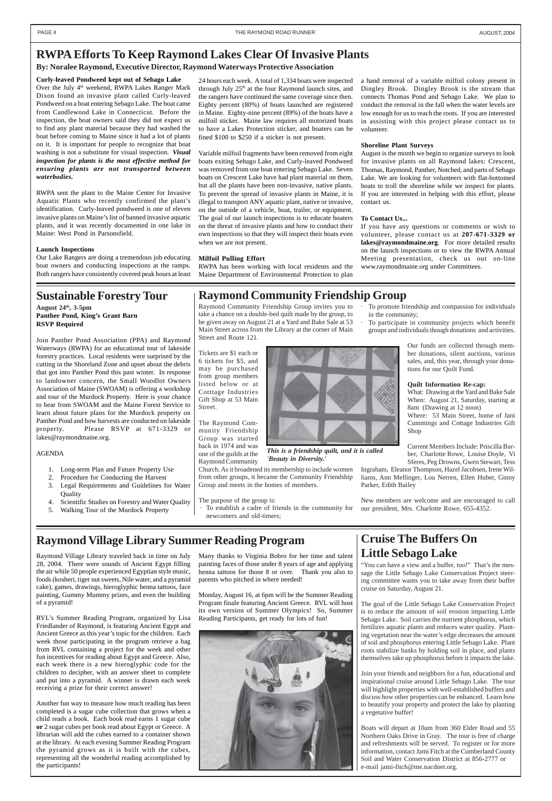# **RWPA Efforts To Keep Raymond Lakes Clear Of Invasive Plants**

### **By: Noralee Raymond, Executive Director, Raymond Waterways Protective Association**

**Curly-leaved Pondweed kept out of Sebago Lake** Over the July 4<sup>th</sup> weekend, RWPA Lakes Ranger Mark Dixon found an invasive plant called Curly-leaved Pondweed on a boat entering Sebago Lake. The boat came from Candlewood Lake in Connecticut. Before the inspection, the boat owners said they did not expect us to find any plant material because they had washed the boat before coming to Maine since it had a lot of plants on it. It is important for people to recognize that boat washing is not a substitute for visual inspection. *Visual inspection for plants is the most effective method for ensuring plants are not transported between waterbodies.*

RWPA sent the plant to the Maine Center for Invasive Aquatic Plants who recently confirmed the plant's identification. Curly-leaved pondweed is one of eleven invasive plants on Maine's list of banned invasive aquatic plants, and it was recently documented in one lake in Maine: West Pond in Parsonsfield.

#### **Launch Inspections**

Our Lake Rangers are doing a tremendous job educating boat owners and conducting inspections at the ramps. Both rangers have consistently covered peak hours at least

### **Sustainable Forestry Tour** | Raymond Community Friendship Group

**August 24th, 3-5pm Panther Pond, King's Grant Barn RSVP Required**

Join Panther Pond Association (PPA) and Raymond Waterways (RWPA) for an educational tour of lakeside forestry practices. Local residents were surprised by the cutting in the Shoreland Zone and upset about the debris that got into Panther Pond this past winter. In response to landowner concern, the Small Woodlot Owners Association of Maine (SWOAM) is offering a workshop and tour of the Murdock Property. Here is your chance to hear from SWOAM and the Maine Forest Service to learn about future plans for the Murdock property on Panther Pond and how harvests are conducted on lakeside property. Please RSVP at 671-3329 or lakes@raymondmaine.org.

### AGENDA

- 1. Long-term Plan and Future Property Use
- 2. Procedure for Conducting the Harvest 3. Legal Requirements and Guidelines for Water **Ouality**
- 4. Scientific Studies on Forestry and Water Quality
- 5. Walking Tour of the Murdock Property

# **Cruise The Buffers On Little Sebago Lake**

"You can have a view and a buffer, too!" That's the message the Little Sebago Lake Conservation Project steering committee wants you to take away from their buffer cruise on Saturday, August 21.

The goal of the Little Sebago Lake Conservation Project is to reduce the amount of soil erosion impacting Little Sebago Lake. Soil carries the nutrient phosphorus, which fertilizes aquatic plants and reduces water quality. Planting vegetation near the water's edge decreases the amount of soil and phosphorus entering Little Sebago Lake. Plant roots stabilize banks by holding soil in place, and plants themselves take up phosphorus before it impacts the lake.

Join your friends and neighbors for a fun, educational and inspirational cruise around Little Sebago Lake. The tour will highlight properties with well-established buffers and discuss how other properties can be enhanced. Learn how to beautify your property and protect the lake by planting a vegetative buffer!

Boats will depart at 10am from 360 Elder Road and 55 Northern Oaks Drive in Gray. The tour is free of charge and refreshments will be served. To register or for more information, contact Jami Fitch at the Cumberland County Soil and Water Conservation District at 856-2777 or e-mail jami-fitch@me.nacdnet.org.

# **Raymond Village Library Summer Reading Program**

24 hours each week. A total of 1,334 boats were inspected through July  $25<sup>th</sup>$  at the four Raymond launch sites, and the rangers have continued the same coverage since then. Eighty percent (80%) of boats launched are registered in Maine. Eighty-nine percent (89%) of the boats have a milfoil sticker. Maine law requires all motorized boats to have a Lakes Protection sticker, and boaters can be fined \$100 to \$250 if a sticker is not present.

To establish a cadre of friends in the community for newcomers and old-timers;

- To promote friendship and compassion for individuals in the community;
- To participate in community projects which benefit groups and individuals though donations and activities.

Variable milfoil fragments have been removed from eight boats exiting Sebago Lake, and Curly-leaved Pondweed was removed from one boat entering Sebago Lake. Seven boats on Crescent Lake have had plant material on them, but all the plants have been non-invasive, native plants. To prevent the spread of invasive plants in Maine, it is illegal to transport ANY aquatic plant, native or invasive, on the outside of a vehicle, boat, trailer, or equipment. The goal of our launch inspections is to educate boaters on the threat of invasive plants and how to conduct their own inspections so that they will inspect their boats even when we are not present.

#### **Milfoil Pulling Effort**

RWPA has been working with local residents and the Maine Department of Environmental Protection to plan

#### a hand removal of a variable milfoil colony present in Dingley Brook. Dingley Brook is the stream that connects Thomas Pond and Sebago Lake. We plan to conduct the removal in the fall when the water levels are low enough for us to reach the roots. If you are interested in assisting with this project please contact us to volunteer.

#### **Shoreline Plant Surveys**

August is the month we begin to organize surveys to look for invasive plants on all Raymond lakes: Crescent, Thomas, Raymond, Panther, Notched, and parts of Sebago Lake. We are looking for volunteers with flat-bottomed boats to troll the shoreline while we inspect for plants. If you are interested in helping with this effort, please contact us.

#### **To Contact Us...**

If you have any questions or comments or wish to volunteer, please contact us at **207-671-3329 or lakes@raymondmaine.org**. For more detailed results on the launch inspections or to view the RWPA Annual Meeting presentation, check us out on-line www.raymondmaine.org under Committees.

Raymond Village Library traveled back in time on July 28, 2004. There were sounds of Ancient Egypt filling the air while 50 people experienced Egyptian style music, foods (kosheri, tiger nut sweets, Nile water, and a pyramid cake), games, drawings, hieroglyphic henna tattoos, face painting, Gummy Mummy prizes, and even the building of a pyramid!

RVL's Summer Reading Program, organized by Lisa Friedlander of Raymond, is featuring Ancient Egypt and Ancient Greece as this year's topic for the children. Each week those participating in the program retrieve a bag from RVL containing a project for the week and other fun incentives for reading about Egypt and Greece. Also, each week there is a new hieroglyphic code for the children to decipher, with an answer sheet to complete and put into a pyramid. A winner is drawn each week receiving a prize for their correct answer!

Another fun way to measure how much reading has been completed is a sugar cube collection that grows when a child reads a book. Each book read earns 1 sugar cube **or** 2 sugar cubes per book read about Egypt or Greece. A librarian will add the cubes earned to a container shown at the library. At each evening Summer Reading Program the pyramid grows as it is built with the cubes, representing all the wonderful reading accomplished by the participants!

Many thanks to Virginia Bobro for her time and talent painting faces of those under 8 years of age and applying henna tattoos for those 8 or over. Thank you also to parents who pitched in where needed!

Monday, August 16, at 6pm will be the Summer Reading Program finale featuring Ancient Greece. RVL will host

its own version of Summer Olympics! So, Summer Reading Participants, get ready for lots of fun!



Raymond Community Friendship Group invites you to take a chance on a double-bed quilt made by the group, to be given away on August 21 at a Yard and Bake Sale at 53 Main Street across from the Library at the corner of Main Street and Route 121.

Tickets are \$1 each or 6 tickets for \$5, and may be purchased from group members listed below or at Cotttage Industries Gift Shop at 53 Main Street.

The Raymond Community Friendship Group was started back in 1974 and was one of the guilds at the Raymond Community

Church. As it broadened its membership to include women from other groups, it became the Community Friendship Group and meets in the homes of members.

The purpose of the group is:

Our funds are collected through member donations, silent auctions, various sales, and, this year, through your donations for our Quilt Fund.

#### **Quilt Information Re-cap:**

What: Drawing at the Yard and Bake Sale When: August 21, Saturday, starting at 8am (Drawing at 12 noon)

Where: 53 Main Street, home of Jani Cummings and Cottage Industries Gift Shop

Current Members Include: Priscilla Barber, Charlotte Rowe, Louise Doyle, Vi Sferes, Peg Drowns, Gwen Stewart, Tess

Ingraham, Eleanor Thompson, Hazel Jacobsen, Irene Williams, Ann Mellinger, Lou Nerren, Ellen Huber, Ginny Parker, Edith Bailey

New members are welcome and are encouraged to call our president, Mrs. Charlotte Rowe, 655-4352.



*This is a friendship quilt, and it is called 'Beauty in Diversity.'*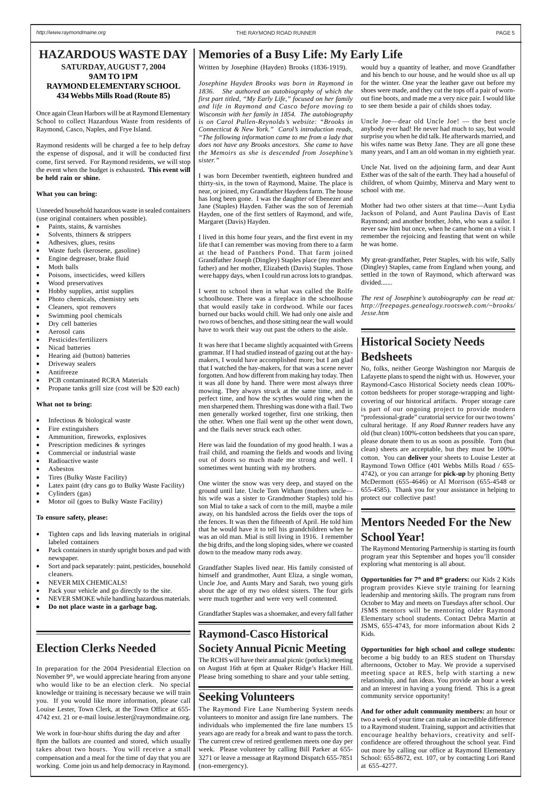# **Raymond-Casco Historical**

### **Society Annual Picnic Meeting**

The RCHS will have their annual picnic (potluck) meeting on August 16th at 6pm at Quaker Ridge's Hacker Hill. Please bring something to share and your table setting.

would buy a quantity of leather, and move Grandfather and his bench to our house, and he would shoe us all up for the winter. One year the leather gave out before my shoes were made, and they cut the tops off a pair of wornout fine boots, and made me a very nice pair. I would like to see them beside a pair of childs shoes today.

Uncle Joe—dear old Uncle Joe! — the best uncle anybody ever had! He never had much to say, but would surprise you when he did talk. He afterwards married, and his wifes name was Betsy Jane. They are all gone these many years, and I am an old woman in my eightieth year.

Uncle Nat. lived on the adjoining farm, and dear Aunt Esther was of the salt of the earth. They had a houseful of children, of whom Quimby, Minerva and Mary went to school with me.

Mother had two other sisters at that time—Aunt Lydia Jackson of Poland, and Aunt Paulina Davis of East Raymond; and another brother, John, who was a sailor. I never saw him but once, when he came home on a visit. I remember the rejoicing and feasting that went on while he was home.

My great-grandfather, Peter Staples, with his wife, Sally (Dingley) Staples, came from England when young, and settled in the town of Raymond, which afterward was divided.......

*The rest of Josephine's autobiography can be read at: http://freepages.genealogy.rootsweb.com/~brooks/ Jesse.htm*

### **Election Clerks Needed**

In preparation for the 2004 Presidential Election on November  $9<sup>th</sup>$ , we would appreciate hearing from anyone who would like to be an election clerk. No special knowledge or training is necessary because we will train you. If you would like more information, please call Louise Lester, Town Clerk, at the Town Office at 655- 4742 ext. 21 or e-mail louise.lester@raymondmaine.org.

We work in four-hour shifts during the day and after 8pm the ballots are counted and stored, which usually takes about two hours. You will receive a small compensation and a meal for the time of day that you are working. Come join us and help democracy in Raymond.

# **Seeking Volunteers**

The Raymond Fire Lane Numbering System needs volunteers to monitor and assign fire lane numbers. The individuals who implemented the fire lane numbers 15 years ago are ready for a break and want to pass the torch. The current crew of retired gentlemen meets one day per week. Please volunteer by calling Bill Parker at 655- 3271 or leave a message at Raymond Dispatch 655-7851 (non-emergency).

Written by Josephine (Hayden) Brooks (1836-1919).

*Josephine Hayden Brooks was born in Raymond in 1836. She authored an autobiography of which the first part titled, "My Early Life," focused on her family and life in Raymond and Casco before moving to Wisconsin with her family in 1854. The autobiography is on Carol Pullen-Reynolds's website: "Brooks in Connecticut & New York." Carol's introduction reads, "The following information came to me from a lady that does not have any Brooks ancestors. She came to have the Memoirs as she is descended from Josephine's sister."*

### **Memories of a Busy Life: My Early Life HAZARDOUS WASTE DAY SATURDAY, AUGUST 7, 2004**

I was born December twentieth, eighteen hundred and thirty-six, in the town of Raymond, Maine. The place is near, or joined, my Grandfather Haydens farm. The house has long been gone. I was the daughter of Ebenezer and Jane (Staples) Hayden. Father was the son of Jeremiah Hayden, one of the first settlers of Raymond, and wife, Margaret (Davis) Hayden.

- Paints, stains, & varnishes
- Solvents, thinners & strippers
- Adhesives, glues, resins
- Waste fuels (kerosene, gasoline)
- Engine degreaser, brake fluid
- Moth balls
- Poisons, insecticides, weed killers
- Wood preservatives
- Hobby supplies, artist supplies
- Photo chemicals, chemistry sets
- Cleaners, spot removers
- Swimming pool chemicals
- Dry cell batteries
- Aerosol cans
- Pesticides/fertilizers
- Nicad batteries
- Hearing aid (button) batteries
- Driveway sealers
- Antifreeze
- PCB contaminated RCRA Materials
- Propane tanks grill size (cost will be \$20 each)

- Infectious & biological waste
- Fire extinguishers
- Ammunition, fireworks, explosives
- Prescription medicines & syringes
- Commercial or industrial waste
- Radioactive waste
- Asbestos
- Tires (Bulky Waste Facility)
- Latex paint (dry cans go to Bulky Waste Facility)
- Cylinders (gas)
- Motor oil (goes to Bulky Waste Facility)

- Tighten caps and lids leaving materials in original labeled containers
- Pack containers in sturdy upright boxes and pad with newspaper.
- Sort and pack separately: paint, pesticides, household cleaners.
- NEVER MIX CHEMICALS!
- Pack your vehicle and go directly to the site.
- NEVER SMOKE while handling hazardous materials.
- 

I lived in this home four years, and the first event in my life that I can remember was moving from there to a farm at the head of Panthers Pond. That farm joined Grandfather Joseph (Dingley) Staples place (my mothers father) and her mother, Elizabeth (Davis) Staples. Those were happy days, when I could run across lots to grandpas.

I went to school then in what was called the Rolfe schoolhouse. There was a fireplace in the schoolhouse that would easily take in cordwood. While our faces burned our backs would chill. We had only one aisle and two rows of benches, and those sitting near the wall would have to work their way out past the others to the aisle.

It was here that I became slightly acquainted with Greens grammar. If I had studied instead of gazing out at the haymakers, I would have accomplished more; but I am glad that I watched the hay-makers, for that was a scene never forgotten. And how different from making hay today. Then it was all done by hand. There were most always three mowing. They always struck at the same time, and in perfect time, and how the scythes would ring when the men sharpened them. Threshing was done with a flail. Two men generally worked together, first one striking, then the other. When one flail went up the other went down, and the flails never struck each other.

Here was laid the foundation of my good health. I was a frail child, and roaming the fields and woods and living out of doors so much made me strong and well. I sometimes went hunting with my brothers.

One winter the snow was very deep, and stayed on the ground until late. Uncle Tom Witham (mothers uncle his wife was a sister to Grandmother Staples) told his son Mial to take a sack of corn to the mill, maybe a mile away, on his handsled across the fields over the tops of the fences. It was then the fifteenth of April. He told him that he would have it to tell his grandchildren when he was an old man. Mial is still living in 1916. I remember the big drifts, and the long sloping sides, where we coasted down to the meadow many rods away.

Grandfather Staples lived near. His family consisted of himself and grandmother, Aunt Eliza, a single woman, Uncle Joe, and Aunts Mary and Sarah, two young girls about the age of my two oldest sisters. The four girls were much together and were very well contented.

Grandfather Staples was a shoemaker, and every fall father

**9AM TO 1PM RAYMOND ELEMENTARY SCHOOL 434 Webbs Mills Road (Route 85)**

Once again Clean Harbors will be at Raymond Elementary School to collect Hazardous Waste from residents of

Raymond, Casco, Naples, and Frye Island.

Raymond residents will be charged a fee to help defray the expense of disposal, and it will be conducted first come, first served. For Raymond residents, we will stop the event when the budget is exhausted**. This event will**

**be held rain or shine.**

#### **What you can bring:**

Unneeded household hazardous waste in sealed containers (use original containers when possible).

#### **What not to bring:**

#### **To ensure safety, please:**

• **Do not place waste in a garbage bag.**

# **Mentors Needed For the New School Year!**

The Raymond Mentoring Partnership is starting its fourth program year this September and hopes you'll consider exploring what mentoring is all about.

**Opportunities for 7th and 8th graders:** our Kids 2 Kids program provides Kieve style training for learning leadership and mentoring skills. The program runs from October to May and meets on Tuesdays after school. Our JSMS mentors will be mentoring older Raymond Elementary school students. Contact Debra Martin at JSMS, 655-4743, for more information about Kids 2 Kids.

**Opportunities for high school and college students:** become a big buddy to an RES student on Thursday afternoons, October to May. We provide a supervised meeting space at RES, help with starting a new relationship, and fun ideas. You provide an hour a week and an interest in having a young friend. This is a great community service opportunity!

**And for other adult community members:** an hour or two a week of your time can make an incredible difference to a Raymond student. Training, support and activities that encourage healthy behaviors, creativity and selfconfidence are offered throughout the school year. Find out more by calling our office at Raymond Elementary School: 655-8672, ext. 107, or by contacting Lori Rand at 655-4277.

# **Historical Society Needs Bedsheets**

No, folks, neither George Washington nor Marquis de Lafayette plans to spend the night with us. However, your Raymond-Casco Historical Society needs clean 100% cotton bedsheets for proper storage-wrapping and lightcovering of our historical artifacts. Proper storage care is part of our ongoing project to provide modern "professional-grade" curatorial service for our two towns' cultural heritage. If any *Road Runner* readers have any old (but clean) 100%-cotton bedsheets that you can spare, please donate them to us as soon as possible. Torn (but clean) sheets are acceptable, but they must be 100% cotton. You can **deliver** your sheets to Louise Lester at Raymond Town Office (401 Webbs Mills Road / 655- 4742), or you can arrange for **pick-up** by phoning Betty McDermott (655-4646) or Al Morrison (655-4548 or 655-4585). Thank you for your assistance in helping to protect our collective past!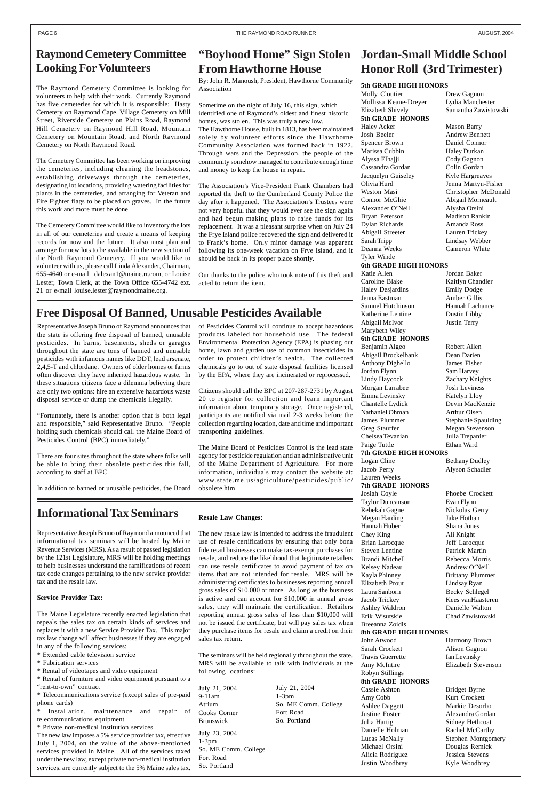# **Jordan-Small Middle School Honor Roll (3rd Trimester)**

# **"Boyhood Home" Sign Stolen From Hawthorne House**

By: John R. Manoush, President, Hawthorne Community Association

Sometime on the night of July 16, this sign, which identified one of Raymond's oldest and finest historic homes, was stolen. This was truly a new low. The Hawthorne House, built in 1813, has been maintained solely by volunteer efforts since the Hawthorne Community Association was formed back in 1922. Through wars and the Depression, the people of the community somehow managed to contribute enough time and money to keep the house in repair.

The Association's Vice-President Frank Chambers had reported the theft to the Cumberland County Police the day after it happened. The Association's Trustees were not very hopeful that they would ever see the sign again and had begun making plans to raise funds for its replacement. It was a pleasant surprise when on July 24 the Frye Island police recovered the sign and delivered it to Frank's home. Only minor damage was apparent following its one-week vacation on Frye Island, and it should be back in its proper place shortly.

Our thanks to the police who took note of this theft and acted to return the item.

# **Raymond Cemetery Committee Looking For Volunteers**

The Raymond Cemetery Committee is looking for volunteers to help with their work. Currently Raymond has five cemeteries for which it is responsible: Hasty Cemetery on Raymond Cape, Village Cemetery on Mill Street, Riverside Cemetery on Plains Road, Raymond Hill Cemetery on Raymond Hill Road, Mountain Cemetery on Mountain Road, and North Raymond Cemetery on North Raymond Road.

Installation, maintenance and repair of telecommunications equipment

The Cemetery Committee has been working on improving the cemeteries, including cleaning the headstones, establishing driveways through the cemeteries, designating lot locations, providing watering facilities for plants in the cemeteries, and arranging for Veteran and Fire Fighter flags to be placed on graves. In the future this work and more must be done.

The Cemetery Committee would like to inventory the lots in all of our cemeteries and create a means of keeping records for now and the future. It also must plan and arrange for new lots to be available in the new section of the North Raymond Cemetery. If you would like to volunteer with us, please call Linda Alexander, Chairman, 655-4640 or e-mail dalexan1@maine.rr.com, or Louise Lester, Town Clerk, at the Town Office 655-4742 ext. 21 or e-mail louise.lester@raymondmaine.org.

### **Informational Tax Seminars**

Molly Cloutier Drew Gagnon Mollissa Keane-Dreyer Lydia Manchester Elizabeth Shively Samantha Zawistowski **5th GRADE HONORS** Haley Acker Mason Barry Josh Beeler Andrew Bennett Spencer Brown Daniel Connor Marissa Cubbin Haley Durkan Alyssa Elhajji Cody Gagnon Cassandra Gordan Colin Gordan Jacquelyn Guiseley Kyle Hargreaves Olivia Hurd Jenna Martyn-Fisher Weston Masi Christopher McDonald Connor McGhie Abigail Morneault Alexander O'Neill Alysha Orsini Bryan Peterson Madison Rankin Dylan Richards Amanda Ross Abigail Streeter Lauren Trickey Sarah Tripp Lindsay Webber Deanna Weeks Cameron White Tyler Winde **6th GRADE HIGH HONORS** Katie Allen Jordan Baker Caroline Blake Kaitlyn Chandler Haley Desjardins Emily Dodge Jenna Eastman Amber Gillis Samuel Hutchinson Hannah Lachance Katherine Lentine Dustin Libby Abigail McIvor Justin Terry Marybeth Wiley **6th GRADE HONORS** Benjamin Algeo Robert Allen Abigail Brockelbank Dean Darien Anthony Dighello James Fisher Jordan Flynn Sam Harvey Lindy Haycock Zachary Knights Morgan Larrabee Josh Leviness Emma Levinsky Katelyn Lloy Chantelle Lydick Devin MacKenzie Nathaniel Ohman Arthur Olsen James Plummer Stephanie Spaulding Greg Stauffer Megan Stevenson Chelsea Tevanian Julia Trepanier Paige Tuttle **Ethan Ward 7th GRADE HIGH HONORS** Logan Cline Bethany Dudley Jacob Perry Alyson Schadler Lauren Weeks **7th GRADE HONORS** Josiah Coyle Phoebe Crockett Taylor Duncanson Evan Flynn Rebekah Gagne Nickolas Gerry Megan Harding Jake Hothan Hannah Huber Shana Jones Chey King Ali Knight

Representative Joseph Bruno of Raymond announced that informational tax seminars will be hosted by Maine Revenue Services (MRS). As a result of passed legislation by the 121st Legislature, MRS will be holding meetings to help businesses understand the ramifications of recent tax code changes pertaining to the new service provider tax and the resale law.

Kayla Phinney Brittany Plummer Jacob Trickey Kees vanHaasteren Ashley Waldron Danielle Walton Erik Wisutskie Chad Zawistowski

**Service Provider Tax:**

John Atwood Harmony Brown Sarah Crockett Alison Gagnon Travis Guerrette Ian Levinsky Amy McIntire Elizabeth Stevenson

The Maine Legislature recently enacted legislation that repeals the sales tax on certain kinds of services and replaces it with a new Service Provider Tax. This major tax law change will affect businesses if they are engaged in any of the following services:

\* Extended cable television service

\* Fabrication services

\* Rental of videotapes and video equipment

\* Rental of furniture and video equipment pursuant to a

"rent-to-own" contract

\* Telecommunications service (except sales of pre-paid phone cards)

\* Private non-medical institution services

The new law imposes a 5% service provider tax, effective July 1, 2004, on the value of the above-mentioned services provided in Maine. All of the services taxed under the new law, except private non-medical institution services, are currently subject to the 5% Maine sales tax.

# **Free Disposal Of Banned, Unusable Pesticides Available**

### **5th GRADE HIGH HONORS**

Brian Larocque Jeff Larocque Steven Lentine Patrick Martin Brandi Mitchell Rebecca Morris Kelsey Nadeau Andrew O'Neill Elizabeth Prout Lindsay Ryan Laura Sanborn Becky Schlegel

Breeanna Zoidis

**8th GRADE HIGH HONORS**

Robyn Stillings **8th GRADE HONORS** Cassie Ashton Bridget Byrne Amy Cobb Kurt Crockett Ashlee Daggett Markie Desorbo Justine Foster Alexandra Gordan Julia Hartig Sidney Hethcoat Danielle Holman Rachel McCarthy Michael Orsini Douglas Remick Alicia Rodriguez Jessica Stevens Justin Woodbrey Kyle Woodbrey

Lucas McNally Stephen Montgomery

Representative Joseph Bruno of Raymond announces that the state is offering free disposal of banned, unusable pesticides. In barns, basements, sheds or garages throughout the state are tons of banned and unusable pesticides with infamous names like DDT, lead arsenate, 2,4,5-T and chlordane. Owners of older homes or farms often discover they have inherited hazardous waste. In these situations citizens face a dilemma believing there are only two options: hire an expensive hazardous waste disposal service or dump the chemicals illegally.

"Fortunately, there is another option that is both legal and responsible," said Representative Bruno. "People holding such chemicals should call the Maine Board of Pesticides Control (BPC) immediately."

There are four sites throughout the state where folks will be able to bring their obsolete pesticides this fall, according to staff at BPC.

In addition to banned or unusable pesticides, the Board

#### of Pesticides Control will continue to accept hazardous products labeled for household use. The federal Environmental Protection Agency (EPA) is phasing out home, lawn and garden use of common insecticides in order to protect children's health. The collected chemicals go to out of state disposal facilities licensed by the EPA, where they are incinerated or reprocessed.

Citizens should call the BPC at 207-287-2731 by August 20 to register for collection and learn important information about temporary storage. Once registered, participants are notified via mail 2-3 weeks before the collection regarding location, date and time and important transporting guidelines.

The Maine Board of Pesticides Control is the lead state agency for pesticide regulation and an administrative unit of the Maine Department of Agriculture. For more information, individuals may contact the website at: www.state.me.us/agriculture/pesticides/public/ obsolete.htm

**Resale Law Changes:**

The new resale law is intended to address the fraudulent use of resale certifications by ensuring that only bona fide retail businesses can make tax-exempt purchases for resale, and reduce the likelihood that legitimate retailers can use resale certificates to avoid payment of tax on items that are not intended for resale. MRS will be administering certificates to businesses reporting annual gross sales of \$10,000 or more. As long as the business is active and can account for \$10,000 in annual gross sales, they will maintain the certification. Retailers reporting annual gross sales of less than \$10,000 will not be issued the certificate, but will pay sales tax when they purchase items for resale and claim a credit on their sales tax return.

The seminars will be held regionally throughout the state. MRS will be available to talk with individuals at the following locations:

July 21, 2004 9-11am Atrium Cooks Corner Brunswick July 23, 2004

July 21, 2004 1-3pm So. ME Comm. College Fort Road So. Portland

1-3pm

So. ME Comm. College

Fort Road So. Portland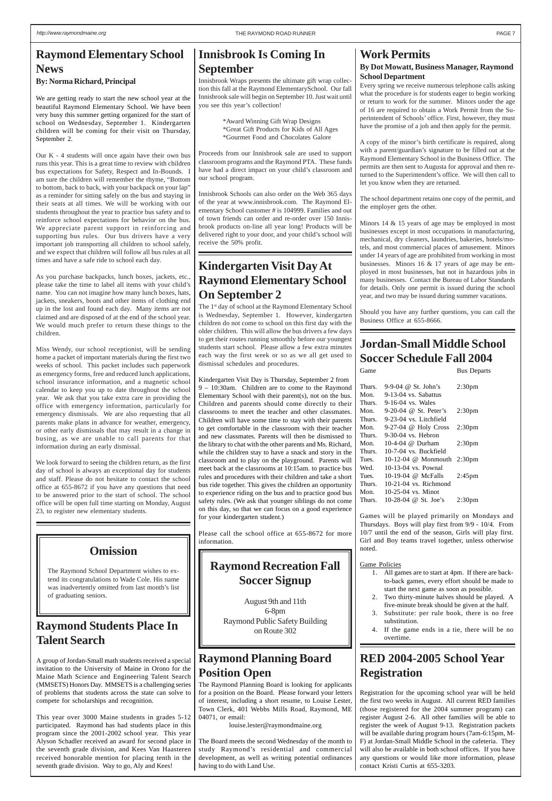# **Raymond Elementary School News**

**By: Norma Richard, Principal**

We are getting ready to start the new school year at the beautiful Raymond Elementary School. We have been very busy this summer getting organized for the start of school on Wednesday, September 1. Kindergarten children will be coming for their visit on Thursday, September 2.

Our K - 4 students will once again have their own bus runs this year. This is a great time to review with children bus expectations for Safety, Respect and In-Bounds. I am sure the children will remember the rhyme, "Bottom to bottom, back to back, with your backpack on your lap" as a reminder for sitting safely on the bus and staying in their seats at all times. We will be working with our students throughout the year to practice bus safety and to reinforce school expectations for behavior on the bus. We appreciate parent support in reinforcing and supporting bus rules. Our bus drivers have a very important job transporting all children to school safely, and we expect that children will follow all bus rules at all times and have a safe ride to school each day.

As you purchase backpacks, lunch boxes, jackets, etc., please take the time to label all items with your child's name. You can not imagine how many lunch boxes, hats, jackets, sneakers, boots and other items of clothing end up in the lost and found each day. Many items are not claimed and are disposed of at the end of the school year. We would much prefer to return these things to the children.

Miss Wendy, our school receptionist, will be sending home a packet of important materials during the first two weeks of school. This packet includes such paperwork as emergency forms, free and reduced lunch applications, school insurance information, and a magnetic school calendar to keep you up to date throughout the school year. We ask that you take extra care in providing the office with emergency information, particularly for emergency dismissals. We are also requesting that all parents make plans in advance for weather, emergency, or other early dismissals that may result in a change in busing, as we are unable to call parents for that information during an early dismissal.

We look forward to seeing the children return, as the first day of school is always an exceptional day for students and staff. Please do not hesitate to contact the school office at 655-8672 if you have any questions that need to be answered prior to the start of school. The school office will be open full time starting on Monday, August 23, to register new elementary students.

### **Work Permits**

### **By Dot Mowatt, Business Manager, Raymond School Department**

### **Jordan-Small Middle School Soccer Schedule Fall 2004** Game Bus Departs

Every spring we receive numerous telephone calls asking what the procedure is for students eager to begin working or return to work for the summer. Minors under the age of 16 are required to obtain a Work Permit from the Superintendent of Schools' office. First, however, they must have the promise of a job and then apply for the permit.

A copy of the minor's birth certificate is required, along with a parent/guardian's signature to be filled out at the Raymond Elementary School in the Business Office. The permits are then sent to Augusta for approval and then returned to the Superintendent's office. We will then call to let you know when they are returned.

The school department retains one copy of the permit, and the employer gets the other.

The 1<sup>st</sup> day of school at the Raymond Elementary School is Wednesday, September 1. However, kindergarten children do not come to school on this first day with the older children. This will allow the bus drivers a few days to get their routes running smoothly before our youngest students start school. Please allow a few extra minutes each way the first week or so as we all get used to dismissal schedules and procedures.

Minors 14 & 15 years of age may be employed in most businesses except in most occupations in manufacturing, mechanical, dry cleaners, laundries, bakeries, hotels/motels, and most commercial places of amusement. Minors under 14 years of age are prohibited from working in most businesses. Minors 16 & 17 years of age may be employed in most businesses, but not in hazardous jobs in many businesses. Contact the Bureau of Labor Standards for details. Only one permit is issued during the school year, and two may be issued during summer vacations.

Should you have any further questions, you can call the Business Office at 655-8666.

# **RED 2004-2005 School Year Registration**

Registration for the upcoming school year will be held the first two weeks in August. All current RED families (those registered for the 2004 summer program) can register August 2-6. All other families will be able to register the week of August 9-13. Registration packets will be available during program hours (7am-6:15pm, M-F) at Jordan-Small Middle School in the cafeteria. They will also be available in both school offices. If you have any questions or would like more information, please contact Kristi Curtis at 655-3203.

### **Innisbrook Is Coming In September**

Innisbrook Wraps presents the ultimate gift wrap collection this fall at the Raymond ElementarySchool. Our fall Innisbrook sale will begin on September 10. Just wait until you see this year's collection!

> \*Award Winning Gift Wrap Designs \*Great Gift Products for Kids of All Ages \*Gourmet Food and Chocolates Galore

Proceeds from our Innisbrook sale are used to support classroom programs and the Raymond PTA. These funds have had a direct impact on your child's classroom and our school program.

Innisbrook Schools can also order on the Web 365 days of the year at www.innisbrook.com. The Raymond Elementary School customer # is 104999. Families and out of town friends can order and re-order over 150 Innisbrook products on-line all year long! Products will be delivered right to your door, and your child's school will receive the 50% profit.

| Thurs. | 9-9-04 $@$ St. John's       | 2:30 <sub>pm</sub> |
|--------|-----------------------------|--------------------|
| Mon.   | 9-13-04 vs. Sabattus        |                    |
| Thurs. | 9-16-04 vs. Wales           |                    |
| Mon.   | 9-20-04 @ St. Peter's       | 2:30 <sub>pm</sub> |
| Thurs. | 9-23-04 vs. Litchfield      |                    |
| Mon.   | $9-27-04$ @ Holy Cross      | 2:30 <sub>pm</sub> |
| Thurs. | $9-30-04$ vs. Hebron        |                    |
| Mon.   | 10-4-04 $\omega$ Durham     | 2:30 <sub>pm</sub> |
| Thurs. | 10-7-04 vs. Buckfield       |                    |
| Tues.  | 10-12-04 @ Monmouth 2:30pm  |                    |
| Wed.   | 10-13-04 vs. Pownal         |                    |
| Tues.  | 10-19-04 @ McFalls          | $2:45$ pm          |
| Thurs. | $10-21-04$ vs. Richmond     |                    |
| Mon.   | $10-25-04$ vs. Minot        |                    |
| Thurs. | 10-28-04 $\omega$ St. Joe's | 2:30 <sub>pm</sub> |

Games will be played primarily on Mondays and Thursdays. Boys will play first from 9/9 - 10/4. From 10/7 until the end of the season, Girls will play first. Girl and Boy teams travel together, unless otherwise noted.

Game Policies

- 1. All games are to start at 4pm. If there are backto-back games, every effort should be made to start the next game as soon as possible.
- 2. Two thirty-minute halves should be played. A five-minute break should be given at the half.

- 3. Substitute: per rule book, there is no free substitution.
- 4. If the game ends in a tie, there will be no overtime.

# **Kindergarten Visit Day At Raymond Elementary School On September 2**

Kindergarten Visit Day is Thursday, September 2 from 9 – 10:30am. Children are to come to the Raymond Elementary School with their parent(s), not on the bus. Children and parents should come directly to their classrooms to meet the teacher and other classmates. Children will have some time to stay with their parents to get comfortable in the classroom with their teacher and new classmates. Parents will then be dismissed to the library to chat with the other parents and Ms. Richard, while the children stay to have a snack and story in the classroom and to play on the playground. Parents will meet back at the classrooms at 10:15am. to practice bus rules and procedures with their children and take a short bus ride together. This gives the children an opportunity to experience riding on the bus and to practice good bus safety rules. (We ask that younger siblings do not come on this day, so that we can focus on a good experience for your kindergarten student.)

Please call the school office at 655-8672 for more information.

# **Raymond Planning Board Position Open**

The Raymond Planning Board is looking for applicants for a position on the Board. Please forward your letters of interest, including a short resume, to Louise Lester, Town Clerk, 401 Webbs Mills Road, Raymond, ME 04071, or email:

louise.lester@raymondmaine.org

The Board meets the second Wednesday of the month to study Raymond's residential and commercial development, as well as writing potential ordinances having to do with Land Use.

# **Raymond Students Place In Talent Search**

A group of Jordan-Small math students received a special invitation to the University of Maine in Orono for the Maine Math Science and Engineering Talent Search (MMSETS) Honors Day. MMSETS is a challenging series of problems that students across the state can solve to compete for scholarships and recognition.

This year over 3000 Maine students in grades 5-12 participated. Raymond has had students place in this program since the 2001-2002 school year. This year Alyson Schadler received an award for second place in the seventh grade division, and Kees Van Haasteren received honorable mention for placing tenth in the seventh grade division. Way to go, Aly and Kees!

# **Raymond Recreation Fall Soccer Signup**

August 9th and 11th

6-8pm Raymond Public Safety Building on Route 302

### **Omission**

The Raymond School Department wishes to extend its congratulations to Wade Cole. His name was inadvertently omitted from last month's list of graduating seniors.